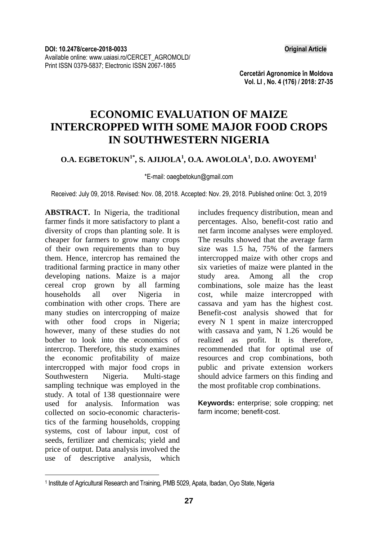**Cercetări Agronomice în Moldova Vol. LI , No. 4 (176) / 2018: 27-35**

# **ECONOMIC EVALUATION OF MAIZE INTERCROPPED WITH SOME MAJOR FOOD CROPS IN SOUTHWESTERN NIGERIA**

### **O.A. EGBETOKUN1\* , S. AJIJOLA<sup>1</sup> , O.A. AWOLOLA<sup>1</sup> , D.O. AWOYEMI<sup>1</sup>**

\*E-mail: oaegbetokun@gmail.com

Received: July 09, 2018. Revised: Nov. 08, 2018. Accepted: Nov. 29, 2018. Published online: Oct. 3, 2019

**ABSTRACT.** In Nigeria, the traditional farmer finds it more satisfactory to plant a diversity of crops than planting sole. It is cheaper for farmers to grow many crops of their own requirements than to buy them. Hence, intercrop has remained the traditional farming practice in many other developing nations. Maize is a major cereal crop grown by all farming households all over Nigeria in combination with other crops. There are many studies on intercropping of maize with other food crops in Nigeria; however, many of these studies do not bother to look into the economics of intercrop. Therefore, this study examines the economic profitability of maize intercropped with major food crops in Southwestern Nigeria. Multi-stage sampling technique was employed in the study. A total of 138 questionnaire were used for analysis. Information was collected on socio-economic characteristics of the farming households, cropping systems, cost of labour input, cost of seeds, fertilizer and chemicals; yield and price of output. Data analysis involved the use of descriptive analysis, which

1

includes frequency distribution, mean and percentages. Also, benefit-cost ratio and net farm income analyses were employed. The results showed that the average farm size was 1.5 ha, 75% of the farmers intercropped maize with other crops and six varieties of maize were planted in the study area. Among all the crop combinations, sole maize has the least cost, while maize intercropped with cassava and yam has the highest cost. Benefit-cost analysis showed that for every N 1 spent in maize intercropped with cassava and yam, N 1.26 would be realized as profit. It is therefore, recommended that for optimal use of resources and crop combinations, both public and private extension workers should advice farmers on this finding and the most profitable crop combinations.

**Keywords:** enterprise; sole cropping; net farm income; benefit-cost.

<sup>&</sup>lt;sup>1</sup> Institute of Agricultural Research and Training, PMB 5029, Apata, Ibadan, Oyo State, Nigeria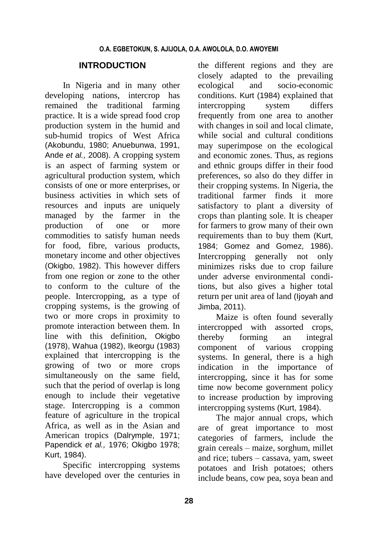## **INTRODUCTION**

In Nigeria and in many other developing nations, intercrop has remained the traditional farming practice. It is a wide spread food crop production system in the humid and sub-humid tropics of West Africa (Akobundu, 1980; Anuebunwa, 1991, Ande *et al.,* 2008). A cropping system is an aspect of farming system or agricultural production system, which consists of one or more enterprises, or business activities in which sets of resources and inputs are uniquely managed by the farmer in the production of one or more commodities to satisfy human needs for food, fibre, various products, monetary income and other objectives (Okigbo, 1982). This however differs from one region or zone to the other to conform to the culture of the people. Intercropping, as a type of cropping systems, is the growing of two or more crops in proximity to promote interaction between them. In line with this definition, Okigbo (1978), Wahua (1982), Ikeorgu (1983) explained that intercropping is the growing of two or more crops simultaneously on the same field, such that the period of overlap is long enough to include their vegetative stage. Intercropping is a common feature of agriculture in the tropical Africa, as well as in the Asian and American tropics (Dalrymple, 1971; Papendick *et al.,* 1976; Okigbo 1978; Kurt, 1984).

Specific intercropping systems have developed over the centuries in the different regions and they are closely adapted to the prevailing ecological and socio-economic conditions. Kurt (1984) explained that intercropping system differs frequently from one area to another with changes in soil and local climate, while social and cultural conditions may superimpose on the ecological and economic zones. Thus, as regions and ethnic groups differ in their food preferences, so also do they differ in their cropping systems. In Nigeria, the traditional farmer finds it more satisfactory to plant a diversity of crops than planting sole. It is cheaper for farmers to grow many of their own requirements than to buy them (Kurt, 1984; Gomez and Gomez, 1986). Intercropping generally not only minimizes risks due to crop failure under adverse environmental conditions, but also gives a higher total return per unit area of land (Ijoyah and Jimba, 2011).

Maize is often found severally intercropped with assorted crops, thereby forming an integral component of various cropping systems. In general, there is a high indication in the importance of intercropping, since it has for some time now become government policy to increase production by improving intercropping systems (Kurt, 1984).

The major annual crops, which are of great importance to most categories of farmers, include the grain cereals – maize, sorghum, millet and rice; tubers – cassava, yam, sweet potatoes and Irish potatoes; others include beans, cow pea, soya bean and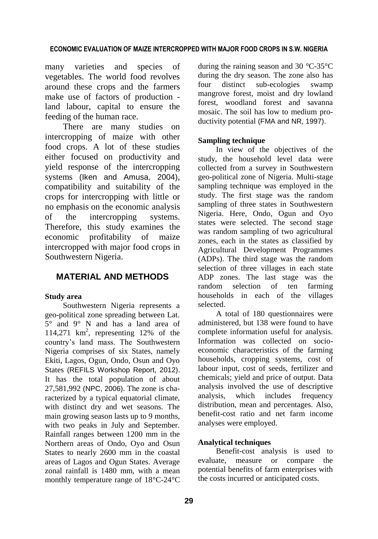#### **ECONOMIC EVALUATION OF MAIZE INTERCROPPED WITH MAJOR FOOD CROPS IN S.W. NIGERIA**

many varieties and species of vegetables. The world food revolves around these crops and the farmers make use of factors of production land labour, capital to ensure the feeding of the human race.

There are many studies on intercropping of maize with other food crops. A lot of these studies either focused on productivity and yield response of the intercropping systems (Iken and Amusa, 2004), compatibility and suitability of the crops for intercropping with little or no emphasis on the economic analysis of the intercropping systems. Therefore, this study examines the economic profitability of maize intercropped with major food crops in Southwestern Nigeria.

## **MATERIAL AND METHODS**

#### **Study area**

Southwestern Nigeria represents a geo-political zone spreading between Lat. 5° and 9° N and has a land area of 114,271 km<sup>2</sup> , representing 12% of the country's land mass. The Southwestern Nigeria comprises of six States, namely Ekiti, Lagos, Ogun, Ondo, Osun and Oyo States (REFILS Workshop Report, 2012). It has the total population of about 27,581,992 (NPC, 2006). The zone is characterized by a typical equatorial climate, with distinct dry and wet seasons. The main growing season lasts up to 9 months, with two peaks in July and September. Rainfall ranges between 1200 mm in the Northern areas of Ondo, Oyo and Osun States to nearly 2600 mm in the coastal areas of Lagos and Ogun States. Average zonal rainfall is 1480 mm, with a mean monthly temperature range of 18°C-24°C

during the raining season and 30 *°*C-35°C during the dry season. The zone also has four distinct sub-ecologies swamp mangrove forest, moist and dry lowland forest, woodland forest and savanna mosaic. The soil has low to medium productivity potential (FMA and NR, 1997).

#### **Sampling technique**

In view of the objectives of the study, the household level data were collected from a survey in Southwestern geo-political zone of Nigeria. Multi-stage sampling technique was employed in the study. The first stage was the random sampling of three states in Southwestern Nigeria. Here, Ondo, Ogun and Oyo states were selected. The second stage was random sampling of two agricultural zones, each in the states as classified by Agricultural Development Programmes (ADPs). The third stage was the random selection of three villages in each state ADP zones. The last stage was the random selection of ten farming households in each of the villages selected.

A total of 180 questionnaires were administered, but 138 were found to have complete information useful for analysis. Information was collected on socioeconomic characteristics of the farming households, cropping systems, cost of labour input, cost of seeds, fertilizer and chemicals; yield and price of output. Data analysis involved the use of descriptive analysis, which includes frequency distribution, mean and percentages. Also, benefit-cost ratio and net farm income analyses were employed.

#### **Analytical techniques**

Benefit-cost analysis is used to evaluate, measure or compare the potential benefits of farm enterprises with the costs incurred or anticipated costs.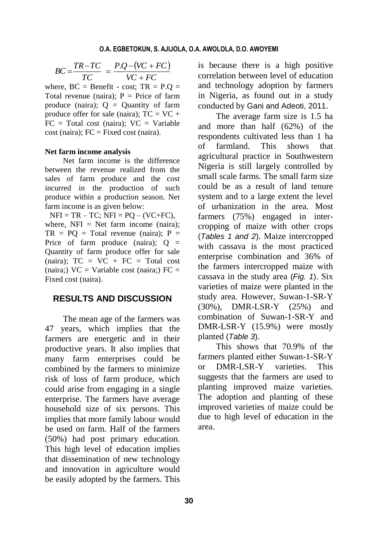$$
BC = \frac{TR - TC}{TC} = \frac{P.Q - (VC + FC)}{VC + FC}
$$

where,  $BC = Benefit - cost$ ;  $TR = P.Q =$ Total revenue (naira);  $P = Price$  of farm produce (naira);  $Q =$  Quantity of farm produce offer for sale (naira);  $TC = VC +$  $FC = Total cost (naira); VC = Variable$  $cost (naira)$ ;  $FC = Fixed cost (naira)$ .

#### **Net farm income analysis**

Net farm income is the difference between the revenue realized from the sales of farm produce and the cost incurred in the production of such produce within a production season. Net farm income is as given below:

 $NFI = TR - TC$ ;  $NFI = PO - (VC + FC)$ , where,  $NFI = Net$  farm income (naira):  $TR = PQ = Total revenue (naira); P =$ Price of farm produce (naira):  $Q =$ Quantity of farm produce offer for sale (naira):  $TC = VC + FC = Total cost$ (naira;)  $VC = Variable cost (naira;) FC =$ Fixed cost (naira).

### **RESULTS AND DISCUSSION**

 $(VC + FC)$ <br>  $\overline{C + FC}$ ; TR = P.Q =<br>  $\overline{C + FC}$ ; TR = P.Q =<br>  $\overline{C}$ ; TR = P.Q =<br>  $\overline{C}$  = Variable<br>  $\overline{C}$  = Variable<br>  $\overline{C}$  = Variable<br>  $\overline{C}$  = Variable<br>  $\overline{C}$  = Variable<br>  $\overline{C}$  = Variable<br>  $\overline{C}$  = Varia The mean age of the farmers was 47 years, which implies that the farmers are energetic and in their productive years. It also implies that many farm enterprises could be combined by the farmers to minimize risk of loss of farm produce, which could arise from engaging in a single enterprise. The farmers have average household size of six persons. This implies that more family labour would be used on farm. Half of the farmers (50%) had post primary education. This high level of education implies that dissemination of new technology and innovation in agriculture would be easily adopted by the farmers. This

is because there is a high positive correlation between level of education and technology adoption by farmers in Nigeria, as found out in a study conducted by Gani and Adeoti, 2011.

The average farm size is 1.5 ha and more than half (62%) of the respondents cultivated less than 1 ha of farmland. This shows that agricultural practice in Southwestern Nigeria is still largely controlled by small scale farms. The small farm size could be as a result of land tenure system and to a large extent the level of urbanization in the area. Most farmers (75%) engaged in intercropping of maize with other crops (*Tables 1 and 2*). Maize intercropped with cassava is the most practiced enterprise combination and 36% of the farmers intercropped maize with cassava in the study area (*Fig. 1*). Six varieties of maize were planted in the study area. However, Suwan-1-SR-Y (30%), DMR-LSR-Y (25%) and combination of Suwan-1-SR-Y and DMR-LSR-Y (15.9%) were mostly planted (*Table 3*).

This shows that 70.9% of the farmers planted either Suwan-1-SR-Y or DMR-LSR-Y varieties. This suggests that the farmers are used to planting improved maize varieties. The adoption and planting of these improved varieties of maize could be due to high level of education in the area.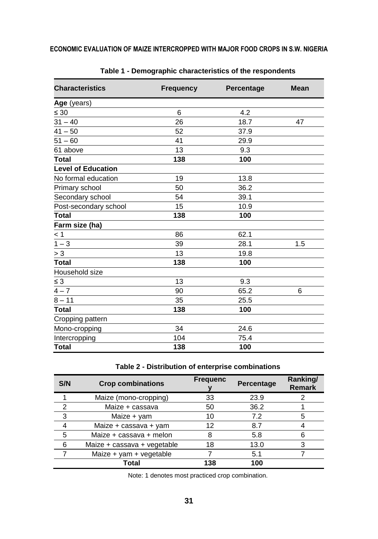| <b>Characteristics</b>    | <b>Frequency</b> | Percentage | <b>Mean</b> |
|---------------------------|------------------|------------|-------------|
| Age (years)               |                  |            |             |
| $\leq 30$                 | 6                | 4.2        |             |
| $31 - 40$                 | 26               | 18.7       | 47          |
| $41 - 50$                 | 52               | 37.9       |             |
| $51 - 60$                 | 41               | 29.9       |             |
| 61 above                  | 13               | 9.3        |             |
| <b>Total</b>              | 138              | 100        |             |
| <b>Level of Education</b> |                  |            |             |
| No formal education       | 19               | 13.8       |             |
| Primary school            | 50               | 36.2       |             |
| Secondary school          | 54               | 39.1       |             |
| Post-secondary school     | 15               | 10.9       |             |
| <b>Total</b>              | 138              | 100        |             |
| Farm size (ha)            |                  |            |             |
| < 1                       | 86               | 62.1       |             |
| $1 - 3$                   | 39               | 28.1       | 1.5         |
| $> 3\,$                   | 13               | 19.8       |             |
| <b>Total</b>              | 138              | 100        |             |
| Household size            |                  |            |             |
| $\leq 3$                  | 13               | 9.3        |             |
| $\overline{4-7}$          | 90               | 65.2       | 6           |
| $8 - 11$                  | 35               | 25.5       |             |
| <b>Total</b>              | 138              | 100        |             |
| Cropping pattern          |                  |            |             |
| Mono-cropping             | 34               | 24.6       |             |
| Intercropping             | 104              | 75.4       |             |
| <b>Total</b>              | 138              | 100        |             |

|  |  |  | Table 1 - Demographic characteristics of the respondents |  |  |  |  |
|--|--|--|----------------------------------------------------------|--|--|--|--|
|--|--|--|----------------------------------------------------------|--|--|--|--|

## **Table 2 - Distribution of enterprise combinations**

| S/N | <b>Crop combinations</b>    | <b>Frequenc</b> | Percentage | Ranking/<br><b>Remark</b> |
|-----|-----------------------------|-----------------|------------|---------------------------|
|     | Maize (mono-cropping)       | 33              | 23.9       |                           |
| ົ   | Maize + cassava             | 50              | 36.2       |                           |
| 3   | Maize + yam                 | 10              | 7.2        |                           |
|     | Maize + cassava + yam       | 12              | 8.7        |                           |
| 5   | Maize + cassava + melon     |                 | 5.8        |                           |
| 6   | Maize + cassava + vegetable | 18              | 13.0       |                           |
|     | Maize + yam + vegetable     |                 | 5.1        |                           |
|     | Total                       | 138             | 100        |                           |

Note: 1 denotes most practiced crop combination.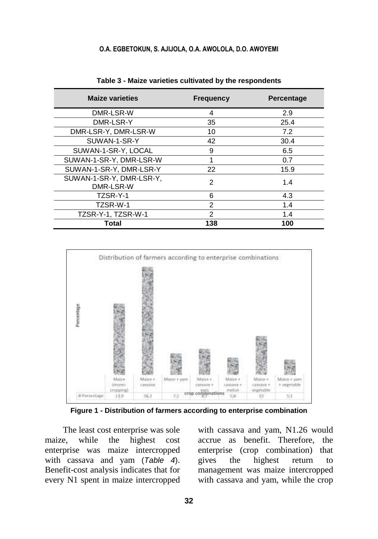| <b>Maize varieties</b>                | <b>Frequency</b> | <b>Percentage</b> |
|---------------------------------------|------------------|-------------------|
| DMR-LSR-W                             | 4                | 2.9               |
| DMR-LSR-Y                             | 35               | 25.4              |
| DMR-LSR-Y, DMR-LSR-W                  | 10               | 7.2               |
| SUWAN-1-SR-Y                          | 42               | 30.4              |
| SUWAN-1-SR-Y, LOCAL                   | 9                | 6.5               |
| SUWAN-1-SR-Y, DMR-LSR-W               | 1                | 0.7               |
| SUWAN-1-SR-Y, DMR-LSR-Y               | 22               | 15.9              |
| SUWAN-1-SR-Y, DMR-LSR-Y,<br>DMR-LSR-W | 2                | 1.4               |
| TZSR-Y-1                              | 6                | 4.3               |
| TZSR-W-1                              | $\mathcal{P}$    | 1.4               |
| TZSR-Y-1, TZSR-W-1                    | 2                | 1.4               |
| Total                                 | 138              | 100               |

**Table 3 - Maize varieties cultivated by the respondents**



**Figure 1 - Distribution of farmers according to enterprise combination**

The least cost enterprise was sole maize, while the highest cost enterprise was maize intercropped with cassava and yam (*Table 4*). Benefit-cost analysis indicates that for every N1 spent in maize intercropped with cassava and yam, N1.26 would accrue as benefit. Therefore, the enterprise (crop combination) that gives the highest return to management was maize intercropped with cassava and yam, while the crop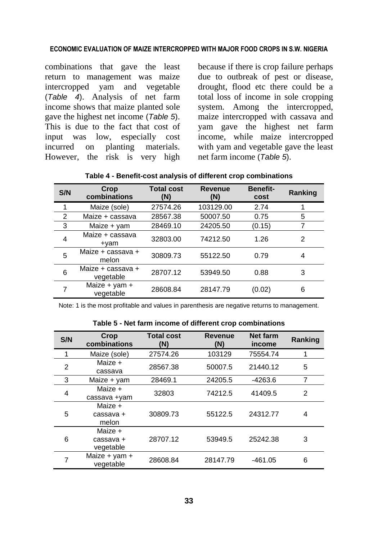#### **ECONOMIC EVALUATION OF MAIZE INTERCROPPED WITH MAJOR FOOD CROPS IN S.W. NIGERIA**

combinations that gave the least return to management was maize intercropped yam and vegetable (*Table 4*). Analysis of net farm income shows that maize planted sole gave the highest net income (*Table 5*). This is due to the fact that cost of input was low, especially cost incurred on planting materials. However, the risk is very high because if there is crop failure perhaps due to outbreak of pest or disease, drought, flood etc there could be a total loss of income in sole cropping system. Among the intercropped, maize intercropped with cassava and yam gave the highest net farm income, while maize intercropped with yam and vegetable gave the least net farm income (*Table 5*).

| S/N            | Crop<br>combinations           | <b>Total cost</b><br>(N) | <b>Revenue</b><br>(N) | <b>Benefit-</b><br>cost | Ranking       |
|----------------|--------------------------------|--------------------------|-----------------------|-------------------------|---------------|
|                | Maize (sole)                   | 27574.26                 | 103129.00             | 2.74                    |               |
| $\overline{2}$ | Maize + cassava                | 28567.38                 | 50007.50              | 0.75                    | 5             |
| 3              | Maize + yam                    | 28469.10                 | 24205.50              | (0.15)                  | 7             |
| 4              | Maize + cassava<br>+yam        | 32803.00                 | 74212.50              | 1.26                    | $\mathcal{P}$ |
| 5              | Maize + cassava +<br>melon     | 30809.73                 | 55122.50              | 0.79                    | 4             |
| 6              | Maize + cassava +<br>vegetable | 28707.12                 | 53949.50              | 0.88                    | 3             |
| 7              | Maize $+$ yam $+$<br>vegetable | 28608.84                 | 28147.79              | (0.02)                  | 6             |

Note: 1 is the most profitable and values in parenthesis are negative returns to management.

|      | Table 5 - Net farm income of different crop combinations |                |          |  |
|------|----------------------------------------------------------|----------------|----------|--|
| Cron | Total cost                                               | <b>PAVANUA</b> | Not form |  |

| S/N            | Crop<br>combinations              | <b>Total cost</b><br>(N) | <b>Revenue</b><br>(N) | <b>Net farm</b><br>income | Ranking        |
|----------------|-----------------------------------|--------------------------|-----------------------|---------------------------|----------------|
|                | Maize (sole)                      | 27574.26                 | 103129                | 75554.74                  |                |
| $\overline{2}$ | Maize +<br>cassava                | 28567.38                 | 50007.5               | 21440.12                  | 5              |
| 3              | Maize + yam                       | 28469.1                  | 24205.5               | $-4263.6$                 | 7              |
| 4              | Maize +<br>cassava +yam           | 32803                    | 74212.5               | 41409.5                   | $\overline{2}$ |
| 5              | Maize +<br>cassava +<br>melon     | 30809.73                 | 55122.5               | 24312.77                  | 4              |
| 6              | Maize +<br>cassava +<br>vegetable | 28707.12                 | 53949.5               | 25242.38                  | 3              |
|                | Maize + yam +<br>vegetable        | 28608.84                 | 28147.79              | $-461.05$                 | 6              |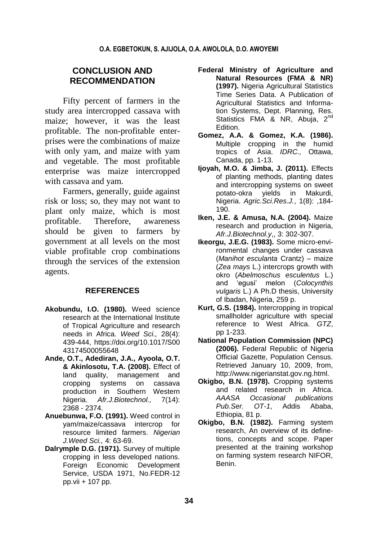## **CONCLUSION AND RECOMMENDATION**

Fifty percent of farmers in the study area intercropped cassava with maize; however, it was the least profitable. The non-profitable enterprises were the combinations of maize with only yam, and maize with yam and vegetable. The most profitable enterprise was maize intercropped with cassava and yam.

Farmers, generally, guide against risk or loss; so, they may not want to plant only maize, which is most profitable. Therefore, awareness should be given to farmers by government at all levels on the most viable profitable crop combinations through the services of the extension agents.

#### **REFERENCES**

- **Akobundu, I.O. (1980).** Weed science research at the International Institute of Tropical Agriculture and research needs in Africa. *Weed Sci.,* 28(4): 439-444, https://doi.org/10.1017/S00 43174500055648
- **Ande, O.T., Adediran, J.A., Ayoola, O.T. & Akinlosotu, T.A. (2008).** Effect of land quality, management and cropping systems on cassava production in Southern Western Nigeria. *Afr.J.Biotechnol.,* 7(14): 2368 - 2374.
- **Anuebunwa, F.O. (1991).** Weed control in yam/maize/cassava intercrop for resource limited farmers. *Nigerian J.Weed Sci.,* 4: 63-69.
- **Dalrymple D.G. (1971).** Survey of multiple cropping in less developed nations. Foreign Economic Development Service, USDA 1971, No.FEDR-12 pp.vii + 107 pp.
- **Federal Ministry of Agriculture and Natural Resources (FMA & NR) (1997).** Nigeria Agricultural Statistics Time Series Data. A Publication of Agricultural Statistics and Information Systems, Dept. Planning, Res. Statistics FMA & NR, Abuja, 2<sup>nd</sup> Edition.
- **Gomez, A.A. & Gomez, K.A. (1986).** Multiple cropping in the humid tropics of Asia. *IDRC.,* Ottawa, Canada, pp. 1-13.
- **Ijoyah, M.O. & Jimba, J. (2011).** Effects of planting methods, planting dates and intercropping systems on sweet potato-okra yields in Makurdi, Nigeria. *Agric.Sci.Res.J.*, 1(8): ,184- 190.
- **Iken, J.E. & Amusa, N.A. (2004).** Maize research and production in Nigeria, *Afr.J.Biotechnol.y*,, 3: 302-307.
- **Ikeorgu, J.E.G. (1983).** Some micro-environmental changes under cassava (*Manihot esculanta* Crantz) – maize (*Zea mays* L.) intercrops growth with okro (*Abelmoschus esculentus* L.) and 'egusi' melon (*Colocynthis vulgaris* L.) A Ph.D thesis, University of Ibadan, Nigeria, 259 p.
- **Kurt, G.S. (1984).** Intercropping in tropical smallholder agriculture with special reference to West Africa. *GTZ*, pp 1-233.
- **National Population Commission (NPC) (2006).** Federal Republic of Nigeria Official Gazette, Population Census. Retrieved January 10, 2009, from, http:[//www.nigerianstat.gov.ng.](http://www.nigerianstat.gov.ng/)html.
- **Okigbo, B.N. (1978).** Cropping systems and related research in Africa. *AAASA Occasional publications Pub.Ser. OT-1*, Addis Ababa, Ethiopia, 81 p.
- **Okigbo, B.N. (1982).** Farming system research, An overview of its definetions, concepts and scope. Paper presented at the training workshop on farming system research NIFOR, Benin.